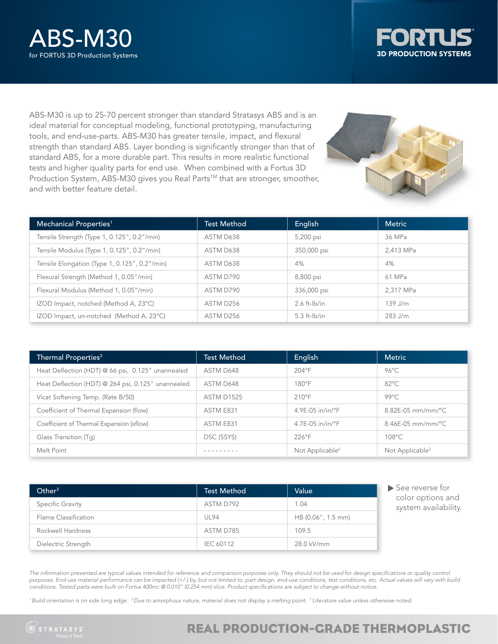



ABS-M30 is up to 25-70 percent stronger than standard Stratasys ABS and is an ideal material for conceptual modeling, functional prototyping, manufacturing tools, and end-use-parts. ABS-M30 has greater tensile, impact, and flexural strength than standard ABS. Layer bonding is significantly stronger than that of standard ABS, for a more durable part. This results in more realistic functional tests and higher quality parts for end use. When combined with a Fortus 3D Production System, ABS-M30 gives you Real Parts™ that are stronger, smoother, and with better feature detail.



| Mechanical Properties <sup>1</sup>            | <b>Test Method</b> | English           | <b>Metric</b> |
|-----------------------------------------------|--------------------|-------------------|---------------|
| Tensile Strength (Type 1, 0.125", 0.2"/min)   | ASTM D638          | 5,200 psi         | 36 MPa        |
| Tensile Modulus (Type 1, 0.125", 0.2"/min)    | ASTM D638          | 350,000 psi       | 2,413 MPa     |
| Tensile Elongation (Type 1, 0.125", 0.2"/min) | ASTM D638          | 4%                | 4%            |
| Flexural Strength (Method 1, 0.05"/min)       | ASTM D790          | 8,800 psi         | 61 MPa        |
| Flexural Modulus (Method 1, 0.05"/min)        | ASTM D790          | 336,000 psi       | 2.317 MPa     |
| IZOD Impact, notched (Method A, 23°C)         | ASTM D256          | $2.6$ ft- $lb/in$ | $139$ J/m     |
| IZOD Impact, un-notched (Method A, 23°C)      | ASTM D256          | $5.3$ ft- $lb/in$ | $283$ J/m     |

| Thermal Properties <sup>3</sup>                    | <b>Test Method</b> | English                      | <b>Metric</b>                    |
|----------------------------------------------------|--------------------|------------------------------|----------------------------------|
| Heat Deflection (HDT) @ 66 psi, 0.125" unannealed  | ASTM D648          | $204^{\circ}F$               | $96^{\circ}$ C                   |
| Heat Deflection (HDT) @ 264 psi, 0.125" unannealed | ASTM D648          | $180^{\circ}$ F              | $82^{\circ}$ C                   |
| Vicat Softening Temp. (Rate B/50)                  | <b>ASTM D1525</b>  | $210^{\circ}$ F              | $99^{\circ}$ C                   |
| Coefficient of Thermal Expansion (flow)            | ASTM E831          | $4.9E-05$ in/in/ $\degree$ F | $8.82E - 05$ mm/mm/ $^{\circ}$ C |
| Coefficient of Thermal Expansion (xflow)           | ASTM E831          | $4.7E-05$ in/in/ $\degree$ F | $8.46E-05$ mm/mm/°C              |
| Glass Transition (Tq)                              | DSC (SSYS)         | $226^{\circ}$ F              | 108°C                            |
| Melt Point                                         |                    | Not Applicable <sup>2</sup>  | Not Applicable <sup>2</sup>      |

| Other <sup>3</sup>   | <b>Test Method</b> | Value              |
|----------------------|--------------------|--------------------|
| Specific Gravity     | ASTM D792          | 1.04               |
| Flame Classification | UL94               | HB (0.06", 1.5 mm) |
| Rockwell Hardness    | ASTM D785          | 109.5              |
| Dielectric Strength  | <b>IEC 60112</b>   | 28.0 kV/mm         |

See reverse for color options and system availability.

The information presented are typical values intended for reference and comparison purposes only. They should not be used for design specifications or quality control *purposes. End-use material performance can be impacted (+/-) by, but not limited to, part design, end-use conditions, test conditions, etc. Actual values will vary with build conditions. Tested parts were built on Fortus 400mc @ 0.010" (0.254 mm) slice. Product specifi cations are subject to change without notice.*

*1 Build orientation is on side long edge. 2 Due to amorphous nature, material does not display a melting point. 3 Literature value unless otherwise noted.*

# REAL PRODUCTION-GRADE THERMOPLASTIC